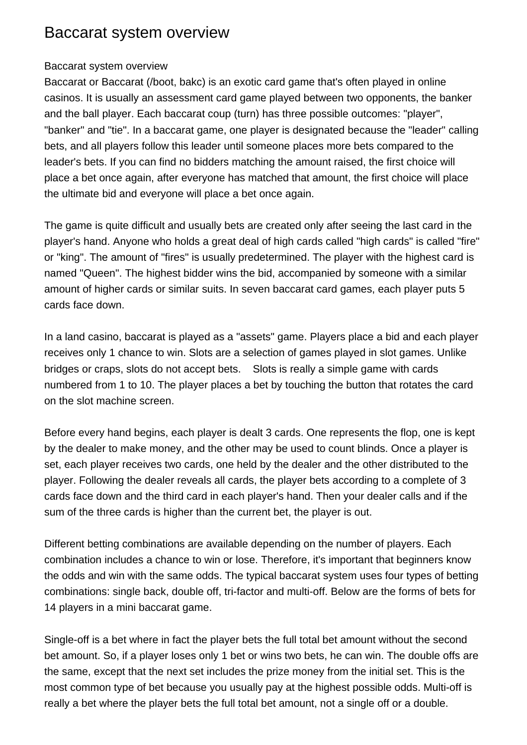## Baccarat system overview

## Baccarat system overview

Baccarat or Baccarat (/boot, bakc) is an exotic card game that's often played in online casinos. It is usually an assessment card game played between two opponents, the banker and the ball player. Each baccarat coup (turn) has three possible outcomes: "player", "banker" and "tie". In a baccarat game, one player is designated because the "leader" calling bets, and all players follow this leader until someone places more bets compared to the leader's bets. If you can find no bidders matching the amount raised, the first choice will place a bet once again, after everyone has matched that amount, the first choice will place the ultimate bid and everyone will place a bet once again.

The game is quite difficult and usually bets are created only after seeing the last card in the player's hand. Anyone who holds a great deal of high cards called "high cards" is called "fire" or "king". The amount of "fires" is usually predetermined. The player with the highest card is named "Queen". The highest bidder wins the bid, accompanied by someone with a similar amount of higher cards or similar suits. In seven baccarat card games, each player puts 5 cards face down.

In a land casino, baccarat is played as a "assets" game. Players place a bid and each player receives only 1 chance to win. Slots are a selection of games played in slot games. Unlike bridges or craps, slots do not accept bets.Slots is really a simple game with cards numbered from 1 to 10. The player places a bet by touching the button that rotates the card on the slot machine screen.

Before every hand begins, each player is dealt 3 cards. One represents the flop, one is kept by the dealer to make money, and the other may be used to count blinds. Once a player is set, each player receives two cards, one held by the dealer and the other distributed to the player. Following the dealer reveals all cards, the player bets according to a complete of 3 cards face down and the third card in each player's hand. Then your dealer calls and if the sum of the three cards is higher than the current bet, the player is out.

Different betting combinations are available depending on the number of players. Each combination includes a chance to win or lose. Therefore, it's important that beginners know the odds and win with the same odds. The typical baccarat system uses four types of betting combinations: single back, double off, tri-factor and multi-off. Below are the forms of bets for 14 players in a mini baccarat game.

Single-off is a bet where in fact the player bets the full total bet amount without the second bet amount. So, if a player loses only 1 bet or wins two bets, he can win. The double offs are the same, except that the next set includes the prize money from the initial set. This is the most common type of bet because you usually pay at the highest possible odds. Multi-off is really a bet where the player bets the full total bet amount, not a single off or a double.